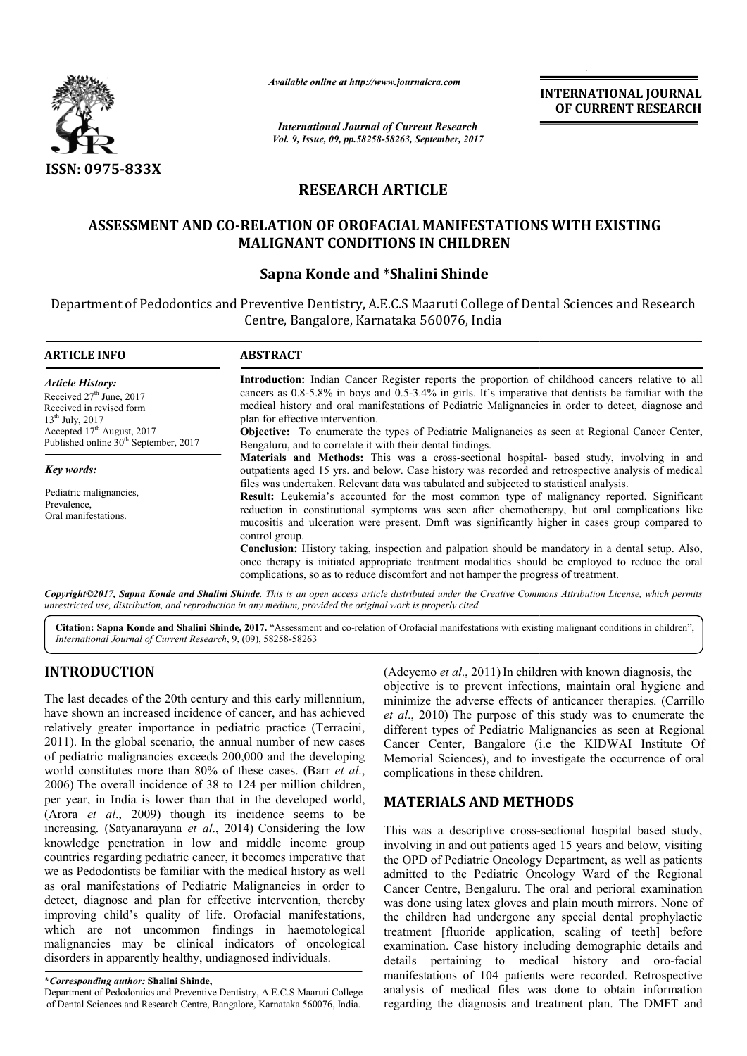

*Available online at http://www.journalcra.com*

*International Journal of Current Research Vol. 9, Issue, 09, pp.58258-58263, September, 2017* **INTERNATIONAL JOURNAL OF CURRENT RESEARCH**

# **RESEARCH ARTICLE**

# **ASSESSMENT AND CO-RELATION OF OROFACIAL MANIFESTATIONS WITH EXISTING MANIFESTATIONS WITH MALIGNANT CONDITIONS IN CHILDREN** RELATION OF OROFACIAL MANIFES**TRELATION OF ONDITIONS IN CHILDF**<br>Sapna Konde and \*Shalini Shinde

## **Sapna Konde and**

Department of Pedodontics and Preventive Dentistry, A.E.C.S Maaruti College of Dental Sciences and Research Centre, Bangalore, Karnataka 560076, India

| <b>ABSTRACT</b>                                                                                                                                                                                                                                                                                                                                                                                                    |  |  |  |
|--------------------------------------------------------------------------------------------------------------------------------------------------------------------------------------------------------------------------------------------------------------------------------------------------------------------------------------------------------------------------------------------------------------------|--|--|--|
| <b>Introduction:</b> Indian Cancer Register reports the proportion of childhood cancers relative to all<br>cancers as 0.8-5.8% in boys and 0.5-3.4% in girls. It's imperative that dentists be familiar with the                                                                                                                                                                                                   |  |  |  |
| medical history and oral manifestations of Pediatric Malignancies in order to detect, diagnose and<br>plan for effective intervention.                                                                                                                                                                                                                                                                             |  |  |  |
| Objective: To enumerate the types of Pediatric Malignancies as seen at Regional Cancer Center,<br>Bengaluru, and to correlate it with their dental findings.                                                                                                                                                                                                                                                       |  |  |  |
| Materials and Methods: This was a cross-sectional hospital- based study, involving in and<br>outpatients aged 15 yrs. and below. Case history was recorded and retrospective analysis of medical                                                                                                                                                                                                                   |  |  |  |
| files was undertaken. Relevant data was tabulated and subjected to statistical analysis.<br><b>Result:</b> Leukemia's accounted for the most common type of malignancy reported. Significant<br>reduction in constitutional symptoms was seen after chemotherapy, but oral complications like<br>mucositis and ulceration were present. Dmft was significantly higher in cases group compared to<br>control group. |  |  |  |
| Conclusion: History taking, inspection and palpation should be mandatory in a dental setup. Also,<br>once therapy is initiated appropriate treatment modalities should be employed to reduce the oral<br>complications, so as to reduce discomfort and not hamper the progress of treatment.                                                                                                                       |  |  |  |
|                                                                                                                                                                                                                                                                                                                                                                                                                    |  |  |  |

Copyright©2017, Sapna Konde and Shalini Shinde. This is an open access article distributed under the Creative Commons Attribution License, which permits unrestricted use, distribution, and reproduction in any medium, provided the original work is properly cited.

Citation: Sapna Konde and Shalini Shinde, 2017. "Assessment and co-relation of Orofacial manifestations with existing malignant conditions in children", *International Journal of Current Research*, 9, (09), 58 58258-58263

## **INTRODUCTION**

The last decades of the 20th century and this early millennium, have shown an increased incidence of cancer, and has achieved relatively greater importance in pediatric practice (Terracini, 2011). In the global scenario, the annual number of new cases of pediatric malignancies exceeds 200,000 and the developing world constitutes more than 80% of these cases. (Barr *et al*., 2006) The overall incidence of 38 to 124 per million children, per year, in India is lower than that in the developed world, (Arora *et al*., 2009) though its incidence seems to be increasing. (Satyanarayana *et al*., 2014) Considering the low knowledge penetration in low and middle income group countries regarding pediatric cancer, it becomes imperative that we as Pedodontists be familiar with the medical history as well as oral manifestations of Pediatric Malignancies in order to detect, diagnose and plan for effective intervention, thereby improving child's quality of life. Orofacial manifestations, which are not uncommon findings in haemotological malignancies may be clinical indicators of oncological disorders in apparently healthy, undiagnosed individuals.

#### **\****Corresponding author:* **Shalini Shinde,**

Department of Pedodontics and Preventive Dentistry, A.E.C.S Maaruti College of Dental Sciences and Research Centre, Bangalore, Karnataka 560076, India.

(Adeyemo *et al*., 2011) In children with known diagnosis, the objective is to prevent infections, maintain oral hygiene and (Adeyemo *et al.*, 2011) In children with known diagnosis, the objective is to prevent infections, maintain oral hygiene and minimize the adverse effects of anticancer therapies. (Carrillo *et al*., 2010) The purpose of this study was to enumerate the different types of Pediatric Malignancies as seen at Regional Cancer Center, Bangalore (i.e the KIDWAI Memorial Sciences), and to investigate the occurrence of oral complications in these children. 10) The purpose of this study was to enumerate the types of Pediatric Malignancies as seen at Regional Center, Bangalore (i.e the KIDWAI Institute Of

## **MATERIALS AND METHODS METHODS**

This was a descriptive cross-sectional hospital based study, involving in and out patients aged 15 years and below, visiting the OPD of Pediatric Oncology Department, as well as patients admitted to the Pediatric Oncology Ward of the Regional Cancer Centre, Bengaluru. The oral and perioral examination was done using latex gloves and plain mouth mirrors. None of the children had undergone any special dental prophylactic treatment [fluoride application, scaling of teeth] before examination. Case history including demographic details and details pertaining to medical history and oro-facial manifestations of 104 patients were recorded. Retrospective manifestations of 104 patients were recorded. Retrospective analysis of medical files was done to obtain information regarding the diagnosis and treatment plan. The DMFT and Iving in and out patients aged 15 years and below, visiting<br>
DPD of Pediatric Oncology Department, as well as patients<br>
itted to the Pediatric Oncology Ward of the Regional<br>
cer Centre, Bengaluru. The oral and perioral exa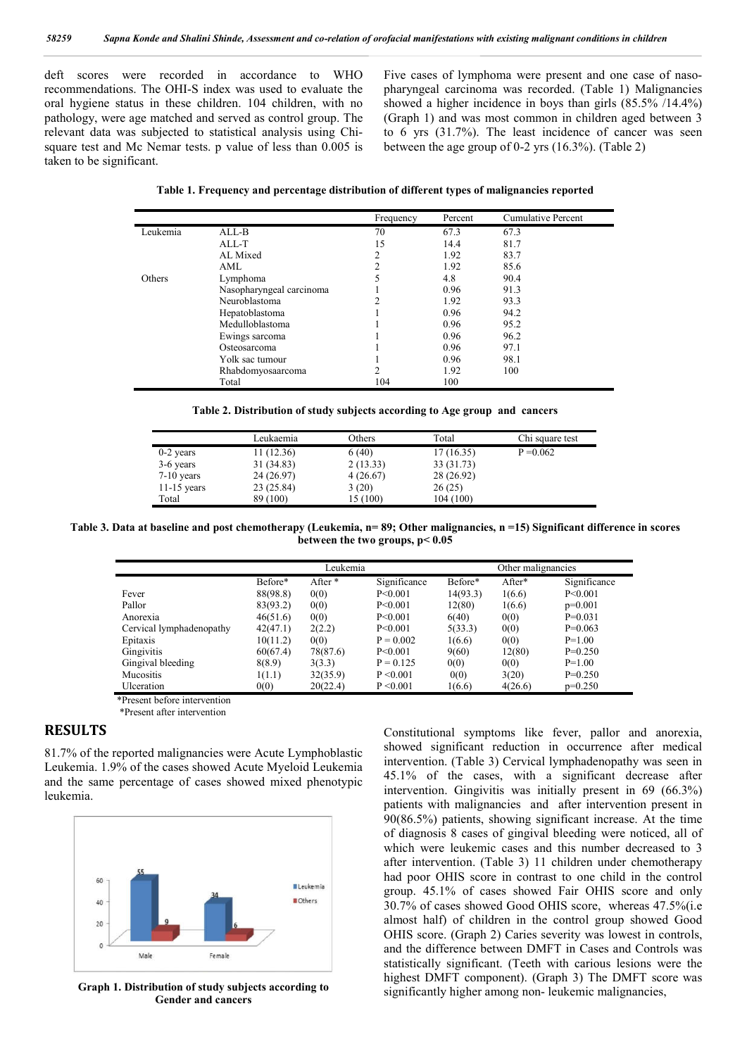deft scores were recorded in accordance to WHO recommendations. The OHI-S index was used to evaluate the oral hygiene status in these children. 104 children, with no pathology, were age matched and served as control group. The relevant data was subjected to statistical analysis using Chisquare test and Mc Nemar tests. p value of less than 0.005 is taken to be significant.

Five cases of lymphoma were present and one case of nasopharyngeal carcinoma was recorded. (Table 1) Malignancies showed a higher incidence in boys than girls (85.5% /14.4%) (Graph 1) and was most common in children aged between 3 to 6 yrs (31.7%). The least incidence of cancer was seen between the age group of 0-2 yrs (16.3%). (Table 2)

**Table 1. Frequency and percentage distribution of different types of malignancies reported**

|          |                          | Frequency | Percent | <b>Cumulative Percent</b> |
|----------|--------------------------|-----------|---------|---------------------------|
| Leukemia | ALL-B                    | 70        | 67.3    | 67.3                      |
|          | ALL-T                    | 15        | 14.4    | 81.7                      |
|          | AL Mixed                 | 2         | 1.92    | 83.7                      |
|          | AML                      |           | 1.92    | 85.6                      |
| Others   | Lymphoma                 |           | 4.8     | 90.4                      |
|          | Nasopharyngeal carcinoma |           | 0.96    | 91.3                      |
|          | Neuroblastoma            |           | 1.92    | 93.3                      |
|          | Hepatoblastoma           |           | 0.96    | 94.2                      |
|          | Medulloblastoma          |           | 0.96    | 95.2                      |
|          | Ewings sarcoma           |           | 0.96    | 96.2                      |
|          | Osteosarcoma             |           | 0.96    | 97.1                      |
|          | Yolk sac tumour          |           | 0.96    | 98.1                      |
|          | Rhabdomyosaarcoma        |           | 1.92    | 100                       |
|          | Total                    | 104       | 100     |                           |

| Table 2. Distribution of study subjects according to Age group and cancers |  |  |  |  |
|----------------------------------------------------------------------------|--|--|--|--|
|----------------------------------------------------------------------------|--|--|--|--|

|               | Leukaemia  | Others   | Total      | Chi square test |
|---------------|------------|----------|------------|-----------------|
| $0-2$ years   | 11(12.36)  | 6(40)    | 17(16.35)  | $P = 0.062$     |
| 3-6 years     | 31 (34.83) | 2(13.33) | 33 (31.73) |                 |
| $7-10$ years  | 24 (26.97) | 4(26.67) | 28 (26.92) |                 |
| $11-15$ years | 23 (25.84) | 3(20)    | 26(25)     |                 |
| Total         | 89 (100)   | 15(100)  | 104 (100)  |                 |

**Table 3. Data at baseline and post chemotherapy (Leukemia, n= 89; Other malignancies, n =15) Significant difference in scores between the two groups, p< 0.05**

|                          | Leukemia |          |              | Other malignancies |         |              |
|--------------------------|----------|----------|--------------|--------------------|---------|--------------|
|                          | Before*  | After *  | Significance | Before*            | After*  | Significance |
| Fever                    | 88(98.8) | 0(0)     | P < 0.001    | 14(93.3)           | 1(6.6)  | P<0.001      |
| Pallor                   | 83(93.2) | 0(0)     | P < 0.001    | 12(80)             | 1(6.6)  | $p=0.001$    |
| Anorexia                 | 46(51.6) | 0(0)     | P < 0.001    | 6(40)              | 0(0)    | $P=0.031$    |
| Cervical lymphadenopathy | 42(47.1) | 2(2.2)   | P<0.001      | 5(33.3)            | 0(0)    | $P=0.063$    |
| Epitaxis                 | 10(11.2) | 0(0)     | $P = 0.002$  | 1(6.6)             | 0(0)    | $P=1.00$     |
| Gingivitis               | 60(67.4) | 78(87.6) | P < 0.001    | 9(60)              | 12(80)  | $P=0.250$    |
| Gingival bleeding        | 8(8.9)   | 3(3.3)   | $P = 0.125$  | 0(0)               | 0(0)    | $P=1.00$     |
| <b>Mucositis</b>         | 1(1.1)   | 32(35.9) | P < 0.001    | 0(0)               | 3(20)   | $P=0.250$    |
| Ulceration               | 0(0)     | 20(22.4) | P < 0.001    | 1(6.6)             | 4(26.6) | $p=0.250$    |

\*Present before intervention

\*Present after intervention

## **RESULTS**

81.7% of the reported malignancies were Acute Lymphoblastic Leukemia. 1.9% of the cases showed Acute Myeloid Leukemia and the same percentage of cases showed mixed phenotypic leukemia.



**Graph 1. Distribution of study subjects according to Gender and cancers**

Constitutional symptoms like fever, pallor and anorexia, showed significant reduction in occurrence after medical intervention. (Table 3) Cervical lymphadenopathy was seen in 45.1% of the cases, with a significant decrease after intervention. Gingivitis was initially present in 69 (66.3%) patients with malignancies and after intervention present in 90(86.5%) patients, showing significant increase. At the time of diagnosis 8 cases of gingival bleeding were noticed, all of which were leukemic cases and this number decreased to 3 after intervention. (Table 3) 11 children under chemotherapy had poor OHIS score in contrast to one child in the control group. 45.1% of cases showed Fair OHIS score and only 30.7% of cases showed Good OHIS score, whereas 47.5%(i.e almost half) of children in the control group showed Good OHIS score. (Graph 2) Caries severity was lowest in controls, and the difference between DMFT in Cases and Controls was statistically significant. (Teeth with carious lesions were the highest DMFT component). (Graph 3) The DMFT score was significantly higher among non- leukemic malignancies,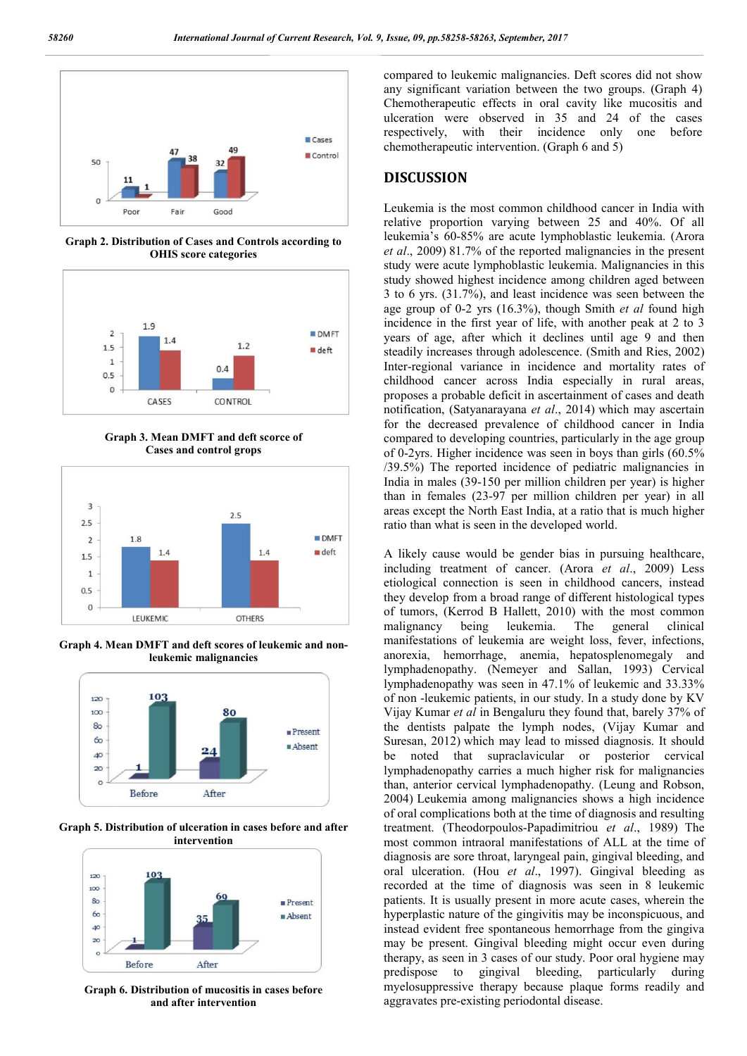

**Graph 2. Distribution of Cases and Controls according to OHIS score categories**



**Graph 3. Mean DMFT and deft scorce of Cases and control grops**



**Graph 4. Mean DMFT and deft scores of leukemic and nonleukemic malignancies**



**Graph 5. Distribution of ulceration in cases before and after intervention**



**Graph 6. Distribution of mucositis in cases before and after intervention**

compared to leukemic malignancies. Deft scores did not show any significant variation between the two groups. (Graph 4) Chemotherapeutic effects in oral cavity like mucositis and ulceration were observed in 35 and 24 of the cases respectively, with their incidence only one before chemotherapeutic intervention. (Graph 6 and 5)

#### **DISCUSSION**

Leukemia is the most common childhood cancer in India with relative proportion varying between 25 and 40%. Of all leukemia's 60-85% are acute lymphoblastic leukemia. (Arora *et al*., 2009) 81.7% of the reported malignancies in the present study were acute lymphoblastic leukemia. Malignancies in this study showed highest incidence among children aged between 3 to 6 yrs. (31.7%), and least incidence was seen between the age group of 0-2 yrs (16.3%), though Smith *et al* found high incidence in the first year of life, with another peak at 2 to 3 years of age, after which it declines until age 9 and then steadily increases through adolescence. (Smith and Ries, 2002) Inter-regional variance in incidence and mortality rates of childhood cancer across India especially in rural areas, proposes a probable deficit in ascertainment of cases and death notification, (Satyanarayana *et al*., 2014) which may ascertain for the decreased prevalence of childhood cancer in India compared to developing countries, particularly in the age group of 0-2yrs. Higher incidence was seen in boys than girls (60.5% /39.5%) The reported incidence of pediatric malignancies in India in males (39-150 per million children per year) is higher than in females (23-97 per million children per year) in all areas except the North East India, at a ratio that is much higher ratio than what is seen in the developed world.

A likely cause would be gender bias in pursuing healthcare, including treatment of cancer. (Arora *et al*., 2009) Less etiological connection is seen in childhood cancers, instead they develop from a broad range of different histological types of tumors, (Kerrod B Hallett, 2010) with the most common malignancy being leukemia. The general clinical manifestations of leukemia are weight loss, fever, infections, anorexia, hemorrhage, anemia, hepatosplenomegaly and lymphadenopathy. (Nemeyer and Sallan, 1993) Cervical lymphadenopathy was seen in 47.1% of leukemic and 33.33% of non -leukemic patients, in our study. In a study done by KV Vijay Kumar *et al* in Bengaluru they found that, barely 37% of the dentists palpate the lymph nodes, (Vijay Kumar and Suresan, 2012) which may lead to missed diagnosis. It should be noted that supraclavicular or posterior cervical lymphadenopathy carries a much higher risk for malignancies than, anterior cervical lymphadenopathy. (Leung and Robson, 2004) Leukemia among malignancies shows a high incidence of oral complications both at the time of diagnosis and resulting treatment. (Theodorpoulos-Papadimitriou *et al*., 1989) The most common intraoral manifestations of ALL at the time of diagnosis are sore throat, laryngeal pain, gingival bleeding, and oral ulceration. (Hou *et al*., 1997). Gingival bleeding as recorded at the time of diagnosis was seen in 8 leukemic patients. It is usually present in more acute cases, wherein the hyperplastic nature of the gingivitis may be inconspicuous, and instead evident free spontaneous hemorrhage from the gingiva may be present. Gingival bleeding might occur even during therapy, as seen in 3 cases of our study. Poor oral hygiene may predispose to gingival bleeding, particularly during myelosuppressive therapy because plaque forms readily and aggravates pre-existing periodontal disease.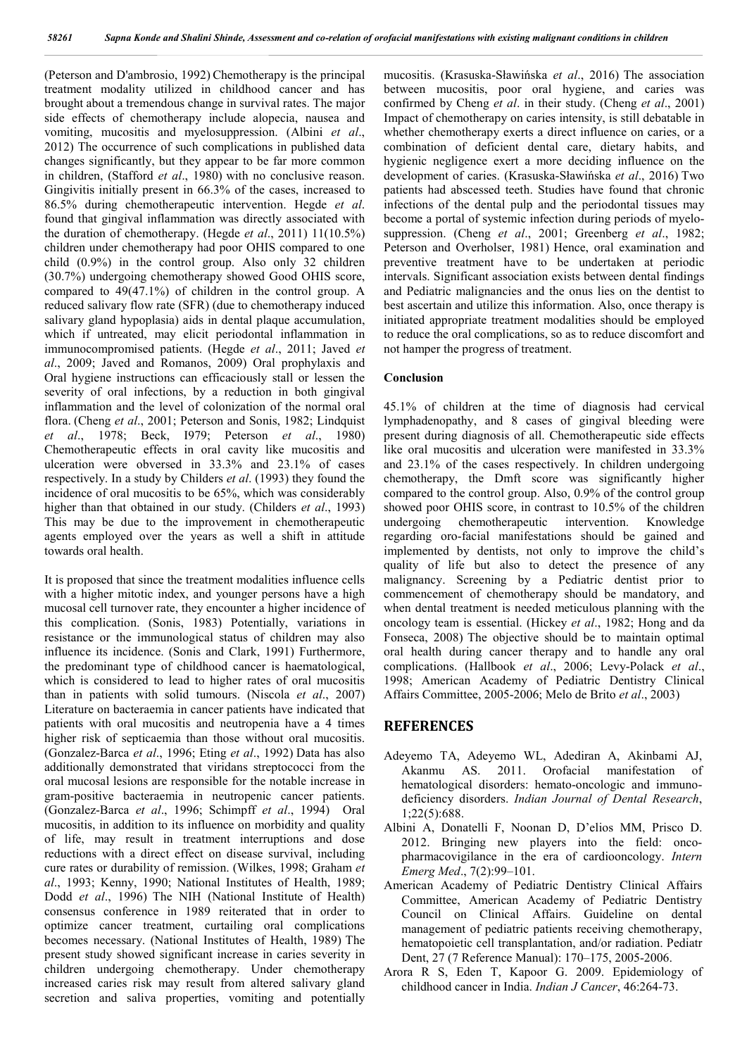(Peterson and D'ambrosio, 1992) Chemotherapy is the principal treatment modality utilized in childhood cancer and has brought about a tremendous change in survival rates. The major side effects of chemotherapy include alopecia, nausea and vomiting, mucositis and myelosuppression. (Albini *et al*., 2012) The occurrence of such complications in published data changes significantly, but they appear to be far more common in children, (Stafford *et al*., 1980) with no conclusive reason. Gingivitis initially present in 66.3% of the cases, increased to 86.5% during chemotherapeutic intervention. Hegde *et al*. found that gingival inflammation was directly associated with the duration of chemotherapy. (Hegde *et al*., 2011) 11(10.5%) children under chemotherapy had poor OHIS compared to one child (0.9%) in the control group. Also only 32 children (30.7%) undergoing chemotherapy showed Good OHIS score, compared to 49(47.1%) of children in the control group. A reduced salivary flow rate (SFR) (due to chemotherapy induced salivary gland hypoplasia) aids in dental plaque accumulation, which if untreated, may elicit periodontal inflammation in immunocompromised patients. (Hegde *et al*., 2011; Javed *et al*., 2009; Javed and Romanos, 2009) Oral prophylaxis and Oral hygiene instructions can efficaciously stall or lessen the severity of oral infections, by a reduction in both gingival inflammation and the level of colonization of the normal oral flora. (Cheng *et al*., 2001; Peterson and Sonis, 1982; Lindquist *et al*., 1978; Beck, I979; Peterson *et al*., 1980) Chemotherapeutic effects in oral cavity like mucositis and ulceration were obversed in 33.3% and 23.1% of cases respectively. In a study by Childers *et al*. (1993) they found the incidence of oral mucositis to be 65%, which was considerably higher than that obtained in our study. (Childers *et al*., 1993) This may be due to the improvement in chemotherapeutic agents employed over the years as well a shift in attitude towards oral health.

It is proposed that since the treatment modalities influence cells with a higher mitotic index, and younger persons have a high mucosal cell turnover rate, they encounter a higher incidence of this complication. (Sonis, 1983) Potentially, variations in resistance or the immunological status of children may also influence its incidence. (Sonis and Clark, 1991) Furthermore, the predominant type of childhood cancer is haematological, which is considered to lead to higher rates of oral mucositis than in patients with solid tumours. (Niscola *et al*., 2007) Literature on bacteraemia in cancer patients have indicated that patients with oral mucositis and neutropenia have a 4 times higher risk of septicaemia than those without oral mucositis. (Gonzalez-Barca *et al*., 1996; Eting *et al*., 1992) Data has also additionally demonstrated that viridans streptococci from the oral mucosal lesions are responsible for the notable increase in gram-positive bacteraemia in neutropenic cancer patients. (Gonzalez-Barca *et al*., 1996; Schimpff *et al*., 1994) Oral mucositis, in addition to its influence on morbidity and quality of life, may result in treatment interruptions and dose reductions with a direct effect on disease survival, including cure rates or durability of remission. (Wilkes, 1998; Graham *et al*., 1993; Kenny, 1990; National Institutes of Health, 1989; Dodd *et al*., 1996) The NIH (National Institute of Health) consensus conference in 1989 reiterated that in order to optimize cancer treatment, curtailing oral complications becomes necessary. (National Institutes of Health, 1989) The present study showed significant increase in caries severity in children undergoing chemotherapy. Under chemotherapy increased caries risk may result from altered salivary gland secretion and saliva properties, vomiting and potentially

mucositis. (Krasuska-Sławińska *et al*., 2016) The association between mucositis, poor oral hygiene, and caries was confirmed by Cheng *et al*. in their study. (Cheng *et al*., 2001) Impact of chemotherapy on caries intensity, is still debatable in whether chemotherapy exerts a direct influence on caries, or a combination of deficient dental care, dietary habits, and hygienic negligence exert a more deciding influence on the development of caries. (Krasuska-Sławińska *et al*., 2016) Two patients had abscessed teeth. Studies have found that chronic infections of the dental pulp and the periodontal tissues may become a portal of systemic infection during periods of myelosuppression. (Cheng *et al*., 2001; Greenberg *et al*., 1982; Peterson and Overholser, 1981) Hence, oral examination and preventive treatment have to be undertaken at periodic intervals. Significant association exists between dental findings and Pediatric malignancies and the onus lies on the dentist to best ascertain and utilize this information. Also, once therapy is initiated appropriate treatment modalities should be employed to reduce the oral complications, so as to reduce discomfort and not hamper the progress of treatment.

#### **Conclusion**

45.1% of children at the time of diagnosis had cervical lymphadenopathy, and 8 cases of gingival bleeding were present during diagnosis of all. Chemotherapeutic side effects like oral mucositis and ulceration were manifested in  $33.3\%$ and 23.1% of the cases respectively. In children undergoing chemotherapy, the Dmft score was significantly higher compared to the control group. Also, 0.9% of the control group showed poor OHIS score, in contrast to 10.5% of the children undergoing chemotherapeutic intervention. Knowledge regarding oro-facial manifestations should be gained and implemented by dentists, not only to improve the child's quality of life but also to detect the presence of any malignancy. Screening by a Pediatric dentist prior to commencement of chemotherapy should be mandatory, and when dental treatment is needed meticulous planning with the oncology team is essential. (Hickey *et al*., 1982; Hong and da Fonseca, 2008) The objective should be to maintain optimal oral health during cancer therapy and to handle any oral complications. (Hallbook *et al*., 2006; Levy-Polack *et al*., 1998; American Academy of Pediatric Dentistry Clinical Affairs Committee, 2005-2006; Melo de Brito *et al*., 2003)

#### **REFERENCES**

- Adeyemo TA, Adeyemo WL, Adediran A, Akinbami AJ, Akanmu AS. 2011. Orofacial manifestation of hematological disorders: hemato-oncologic and immunodeficiency disorders. *Indian Journal of Dental Research*, 1;22(5):688.
- Albini A, Donatelli F, Noonan D, D'elios MM, Prisco D. 2012. Bringing new players into the field: oncopharmacovigilance in the era of cardiooncology. *Intern Emerg Med*., 7(2):99–101.
- American Academy of Pediatric Dentistry Clinical Affairs Committee, American Academy of Pediatric Dentistry Council on Clinical Affairs. Guideline on dental management of pediatric patients receiving chemotherapy, hematopoietic cell transplantation, and/or radiation. Pediatr Dent, 27 (7 Reference Manual): 170–175, 2005-2006.
- Arora R S, Eden T, Kapoor G. 2009. Epidemiology of childhood cancer in India. *Indian J Cancer*, 46:264-73.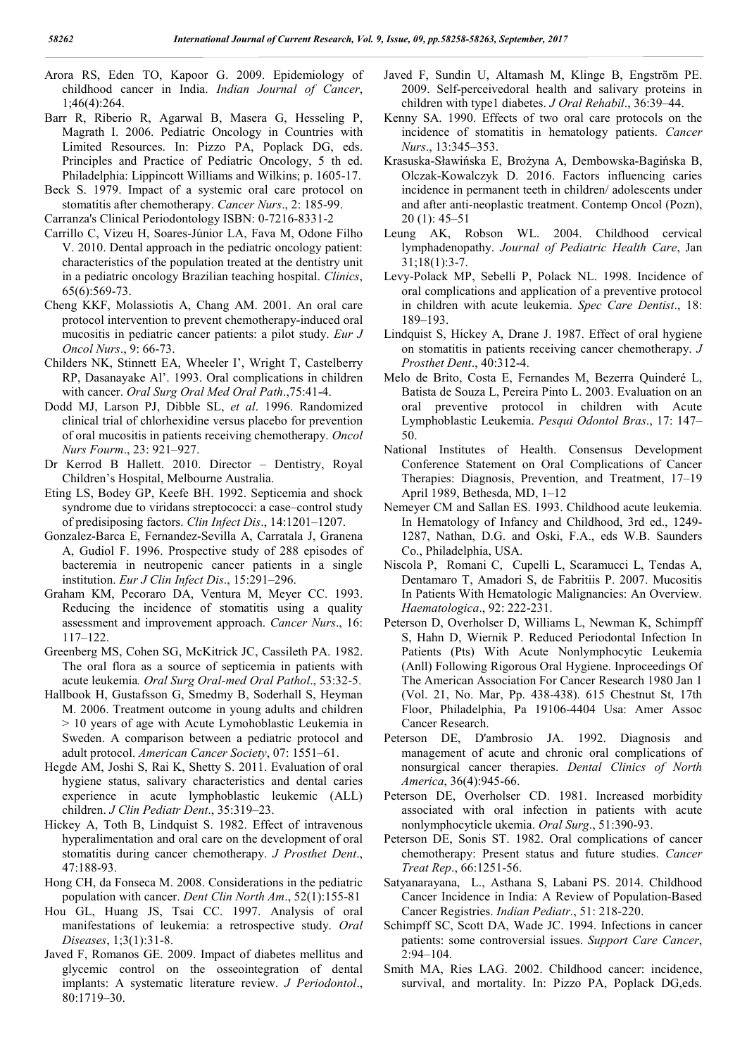- Arora RS, Eden TO, Kapoor G. 2009. Epidemiology of childhood cancer in India. *Indian Journal of Cancer*, 1;46(4):264.
- Barr R, Riberio R, Agarwal B, Masera G, Hesseling P, Magrath I. 2006. Pediatric Oncology in Countries with Limited Resources. In: Pizzo PA, Poplack DG, eds. Principles and Practice of Pediatric Oncology, 5 th ed. Philadelphia: Lippincott Williams and Wilkins; p. 1605-17.
- Beck S. 1979. Impact of a systemic oral care protocol on stomatitis after chemotherapy. *Cancer Nurs*., 2: 185-99.
- Carranza's Clinical Periodontology ISBN: 0-7216-8331-2
- Carrillo C, Vizeu H, Soares-Júnior LA, Fava M, Odone Filho V. 2010. Dental approach in the pediatric oncology patient: characteristics of the population treated at the dentistry unit in a pediatric oncology Brazilian teaching hospital. *Clinics*, 65(6):569-73.
- Cheng KKF, Molassiotis A, Chang AM. 2001. An oral care protocol intervention to prevent chemotherapy-induced oral mucositis in pediatric cancer patients: a pilot study. *Eur J Oncol Nurs*., 9: 66-73.
- Childers NK, Stinnett EA, Wheeler I', Wright T, Castelberry RP, Dasanayake Al'. 1993. Oral complications in children with cancer. *Oral Surg Oral Med Oral Path*.,75:41-4.
- Dodd MJ, Larson PJ, Dibble SL, *et al*. 1996. Randomized clinical trial of chlorhexidine versus placebo for prevention of oral mucositis in patients receiving chemotherapy. *Oncol Nurs Fourm*., 23: 921–927.
- Dr Kerrod B Hallett. 2010. Director Dentistry, Royal Children's Hospital, Melbourne Australia.
- Eting LS, Bodey GP, Keefe BH. 1992. Septicemia and shock syndrome due to viridans streptococci: a case–control study of predisiposing factors. *Clin Infect Dis*., 14:1201–1207.
- Gonzalez-Barca E, Fernandez-Sevilla A, Carratala J, Granena A, Gudiol F. 1996. Prospective study of 288 episodes of bacteremia in neutropenic cancer patients in a single institution. *Eur J Clin Infect Dis*., 15:291–296.
- Graham KM, Pecoraro DA, Ventura M, Meyer CC. 1993. Reducing the incidence of stomatitis using a quality assessment and improvement approach. *Cancer Nurs*., 16: 117–122.
- Greenberg MS, Cohen SG, McKitrick JC, Cassileth PA. 1982. The oral flora as a source of septicemia in patients with acute leukemia*. Oral Surg Oral-med Oral Pathol*., 53:32-5.
- Hallbook H, Gustafsson G, Smedmy B, Soderhall S, Heyman M. 2006. Treatment outcome in young adults and children > 10 years of age with Acute Lymohoblastic Leukemia in Sweden. A comparison between a pediatric protocol and adult protocol. *American Cancer Society*, 07: 1551–61.
- Hegde AM, Joshi S, Rai K, Shetty S. 2011. Evaluation of oral hygiene status, salivary characteristics and dental caries experience in acute lymphoblastic leukemic (ALL) children. *J Clin Pediatr Dent*., 35:319–23.
- Hickey A, Toth B, Lindquist S. 1982. Effect of intravenous hyperalimentation and oral care on the development of oral stomatitis during cancer chemotherapy. *J Prosthet Dent*., 47:188-93.
- Hong CH, da Fonseca M. 2008. Considerations in the pediatric population with cancer. *Dent Clin North Am*., 52(1):155-81
- Hou GL, Huang JS, Tsai CC. 1997. Analysis of oral manifestations of leukemia: a retrospective study. *Oral Diseases*, 1;3(1):31-8.
- Javed F, Romanos GE. 2009. Impact of diabetes mellitus and glycemic control on the osseointegration of dental implants: A systematic literature review. *J Periodontol*., 80:1719–30.
- Javed F, Sundin U, Altamash M, Klinge B, Engström PE. 2009. Self-perceivedoral health and salivary proteins in children with type1 diabetes. *J Oral Rehabil*., 36:39–44.
- Kenny SA. 1990. Effects of two oral care protocols on the incidence of stomatitis in hematology patients. *Cancer Nurs*., 13:345–353.
- Krasuska-Sławińska E, Brożyna A, Dembowska-Bagińska B, Olczak-Kowalczyk D. 2016. Factors influencing caries incidence in permanent teeth in children/ adolescents under and after anti-neoplastic treatment. Contemp Oncol (Pozn), 20 (1): 45–51
- Leung AK, Robson WL. 2004. Childhood cervical lymphadenopathy. *Journal of Pediatric Health Care*, Jan 31;18(1):3-7.
- Levy-Polack MP, Sebelli P, Polack NL. 1998. Incidence of oral complications and application of a preventive protocol in children with acute leukemia. *Spec Care Dentist*., 18: 189–193.
- Lindquist S, Hickey A, Drane J. 1987. Effect of oral hygiene on stomatitis in patients receiving cancer chemotherapy. *J Prosthet Dent*., 40:312-4.
- Melo de Brito, Costa E, Fernandes M, Bezerra Quinderé L, Batista de Souza L, Pereira Pinto L. 2003. Evaluation on an oral preventive protocol in children with Acute Lymphoblastic Leukemia. *Pesqui Odontol Bras*., 17: 147– 50.
- National Institutes of Health. Consensus Development Conference Statement on Oral Complications of Cancer Therapies: Diagnosis, Prevention, and Treatment, 17–19 April 1989, Bethesda, MD, 1–12
- Nemeyer CM and Sallan ES. 1993. Childhood acute leukemia. In Hematology of Infancy and Childhood, 3rd ed., 1249- 1287, Nathan, D.G. and Oski, F.A., eds W.B. Saunders Co., Philadelphia, USA.
- Niscola P, Romani C, Cupelli L, Scaramucci L, Tendas A, Dentamaro T, Amadori S, de Fabritiis P. 2007. Mucositis In Patients With Hematologic Malignancies: An Overview. *Haematologica*., 92: 222-231.
- Peterson D, Overholser D, Williams L, Newman K, Schimpff S, Hahn D, Wiernik P. Reduced Periodontal Infection In Patients (Pts) With Acute Nonlymphocytic Leukemia (Anll) Following Rigorous Oral Hygiene. Inproceedings Of The American Association For Cancer Research 1980 Jan 1 (Vol. 21, No. Mar, Pp. 438-438). 615 Chestnut St, 17th Floor, Philadelphia, Pa 19106-4404 Usa: Amer Assoc Cancer Research.
- Peterson DE, D'ambrosio JA. 1992. Diagnosis and management of acute and chronic oral complications of nonsurgical cancer therapies. *Dental Clinics of North America*, 36(4):945-66.
- Peterson DE, Overholser CD. 1981. Increased morbidity associated with oral infection in patients with acute nonlymphocyticle ukemia. *Oral Surg*., 51:390-93.
- Peterson DE, Sonis ST. 1982. Oral complications of cancer chemotherapy: Present status and future studies. *Cancer Treat Rep*., 66:1251-56.
- Satyanarayana, L., Asthana S, Labani PS. 2014. Childhood Cancer Incidence in India: A Review of Population-Based Cancer Registries. *Indian Pediatr*., 51: 218-220.
- Schimpff SC, Scott DA, Wade JC. 1994. Infections in cancer patients: some controversial issues. *Support Care Cancer*, 2:94–104.
- Smith MA, Ries LAG. 2002. Childhood cancer: incidence, survival, and mortality. In: Pizzo PA, Poplack DG,eds.